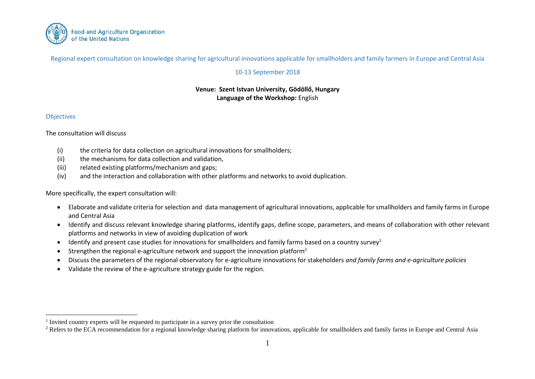

Regional expert consultation on knowledge sharing for agricultural innovations applicable for smallholders and family farmers in Europe and Central Asia

## 10-13 September 2018

## **Venue: Szent Istvan University, Gödöllő, Hungary Language of the Workshop:** English

## **Objectives**

 $\overline{a}$ 

The consultation will discuss

- (i) the criteria for data collection on agricultural innovations for smallholders;
- (ii) the mechanisms for data collection and validation,
- (iii) related existing platforms/mechanism and gaps;
- (iv) and the interaction and collaboration with other platforms and networks to avoid duplication.

More specifically, the expert consultation will:

- Elaborate and validate criteria for selection and data management of agricultural innovations, applicable for smallholders and family farms in Europe and Central Asia
- Identify and discuss relevant knowledge sharing platforms, identify gaps, define scope, parameters, and means of collaboration with other relevant platforms and networks in view of avoiding duplication of work
- $\bullet$  Identify and present case studies for innovations for smallholders and family farms based on a country survey<sup>1</sup>
- **•** Strengthen the regional e-agriculture network and support the innovation platform<sup>2</sup>
- Discuss the parameters of the regional observatory for e-agriculture innovations for stakeholders *and family farms and e-agriculture policies*
- Validate the review of the e-agriculture strategy guide for the region.

<sup>&</sup>lt;sup>1</sup> Invited country experts will be requested to participate in a survey prior the consultation

<sup>&</sup>lt;sup>2</sup> Refers to the ECA recommendation for a regional knowledge sharing platform for innovations, applicable for smallholders and family farms in Europe and Central Asia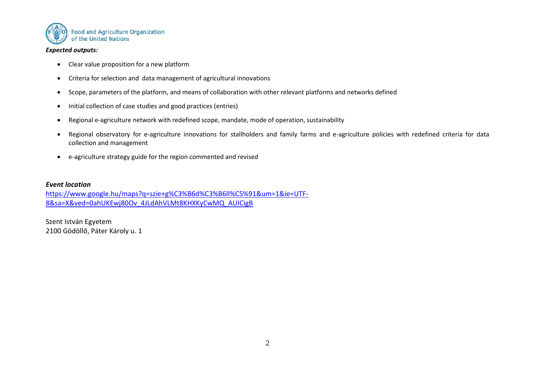

#### *Expected outputs:*

- Clear value proposition for a new platform
- Criteria for selection and data management of agricultural innovations
- Scope, parameters of the platform, and means of collaboration with other relevant platforms and networks defined
- Initial collection of case studies and good practices (entries)
- Regional e-agriculture network with redefined scope, mandate, mode of operation, sustainability
- Regional observatory for e-agriculture innovations for stallholders and family farms and e-agriculture policies with redefined criteria for data collection and management
- e-agriculture strategy guide for the region commented and revised

### *Event location*

[https://www.google.hu/maps?q=szie+g%C3%B6d%C3%B6ll%C5%91&um=1&ie=UTF-](https://www.google.hu/maps?q=szie+g%C3%B6d%C3%B6ll%C5%91&um=1&ie=UTF-8&sa=X&ved=0ahUKEwj80Ov_4JLdAhVLMt8KHXKyCwMQ_AUICigB)[8&sa=X&ved=0ahUKEwj80Ov\\_4JLdAhVLMt8KHXKyCwMQ\\_AUICigB](https://www.google.hu/maps?q=szie+g%C3%B6d%C3%B6ll%C5%91&um=1&ie=UTF-8&sa=X&ved=0ahUKEwj80Ov_4JLdAhVLMt8KHXKyCwMQ_AUICigB)

Szent István Egyetem 2100 Gödöllő, Páter Károly u. 1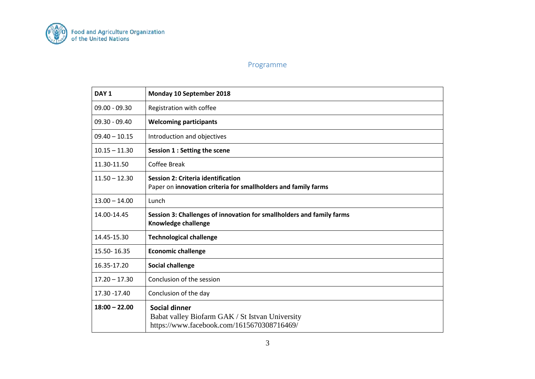

# Programme

| DAY <sub>1</sub> | Monday 10 September 2018                                                                                              |
|------------------|-----------------------------------------------------------------------------------------------------------------------|
| $09.00 - 09.30$  | Registration with coffee                                                                                              |
| $09.30 - 09.40$  | <b>Welcoming participants</b>                                                                                         |
| $09.40 - 10.15$  | Introduction and objectives                                                                                           |
| $10.15 - 11.30$  | Session 1 : Setting the scene                                                                                         |
| 11.30-11.50      | <b>Coffee Break</b>                                                                                                   |
| $11.50 - 12.30$  | <b>Session 2: Criteria identification</b><br>Paper on innovation criteria for smallholders and family farms           |
| $13.00 - 14.00$  | Lunch                                                                                                                 |
| 14.00-14.45      | Session 3: Challenges of innovation for smallholders and family farms<br>Knowledge challenge                          |
| 14.45-15.30      | <b>Technological challenge</b>                                                                                        |
| 15.50-16.35      | <b>Economic challenge</b>                                                                                             |
| 16.35-17.20      | <b>Social challenge</b>                                                                                               |
| $17.20 - 17.30$  | Conclusion of the session                                                                                             |
| 17.30 - 17.40    | Conclusion of the day                                                                                                 |
| $18:00 - 22.00$  | <b>Social dinner</b><br>Babat valley Biofarm GAK / St Istvan University<br>https://www.facebook.com/1615670308716469/ |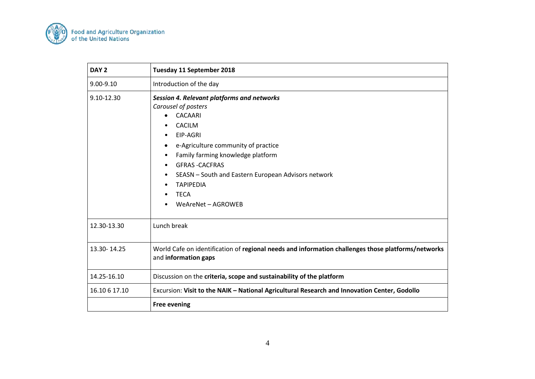

| DAY <sub>2</sub> | Tuesday 11 September 2018                                                                                                                                                                                                                                                                                                                 |
|------------------|-------------------------------------------------------------------------------------------------------------------------------------------------------------------------------------------------------------------------------------------------------------------------------------------------------------------------------------------|
| $9.00 - 9.10$    | Introduction of the day                                                                                                                                                                                                                                                                                                                   |
| 9.10-12.30       | Session 4. Relevant platforms and networks<br>Carousel of posters<br><b>CACAARI</b><br><b>CACILM</b><br>EIP-AGRI<br>e-Agriculture community of practice<br>Family farming knowledge platform<br>٠<br><b>GFRAS-CACFRAS</b><br>SEASN - South and Eastern European Advisors network<br><b>TAPIPEDIA</b><br><b>TECA</b><br>WeAreNet - AGROWEB |
| 12.30-13.30      | Lunch break                                                                                                                                                                                                                                                                                                                               |
| 13.30-14.25      | World Cafe on identification of regional needs and information challenges those platforms/networks<br>and information gaps                                                                                                                                                                                                                |
| 14.25-16.10      | Discussion on the criteria, scope and sustainability of the platform                                                                                                                                                                                                                                                                      |
| 16.10 6 17.10    | Excursion: Visit to the NAIK - National Agricultural Research and Innovation Center, Godollo                                                                                                                                                                                                                                              |
|                  | <b>Free evening</b>                                                                                                                                                                                                                                                                                                                       |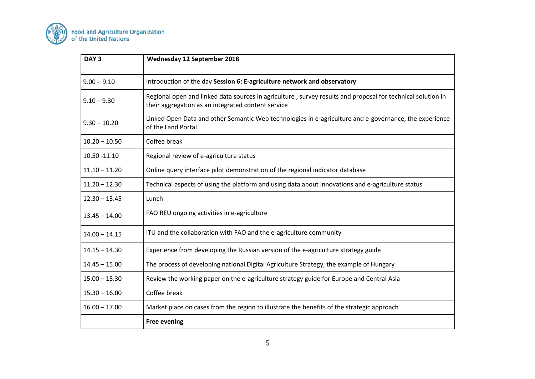

| DAY <sub>3</sub> | Wednesday 12 September 2018                                                                                                                                       |
|------------------|-------------------------------------------------------------------------------------------------------------------------------------------------------------------|
| $9.00 - 9.10$    | Introduction of the day Session 6: E-agriculture network and observatory                                                                                          |
| $9.10 - 9.30$    | Regional open and linked data sources in agriculture, survey results and proposal for technical solution in<br>their aggregation as an integrated content service |
| $9.30 - 10.20$   | Linked Open Data and other Semantic Web technologies in e-agriculture and e-governance, the experience<br>of the Land Portal                                      |
| $10.20 - 10.50$  | Coffee break                                                                                                                                                      |
| 10.50 -11.10     | Regional review of e-agriculture status                                                                                                                           |
| $11.10 - 11.20$  | Online query interface pilot demonstration of the regional indicator database                                                                                     |
| $11.20 - 12.30$  | Technical aspects of using the platform and using data about innovations and e-agriculture status                                                                 |
| $12.30 - 13.45$  | Lunch                                                                                                                                                             |
| $13.45 - 14.00$  | FAO REU ongoing activities in e-agriculture                                                                                                                       |
| $14.00 - 14.15$  | ITU and the collaboration with FAO and the e-agriculture community                                                                                                |
| $14.15 - 14.30$  | Experience from developing the Russian version of the e-agriculture strategy guide                                                                                |
| $14.45 - 15.00$  | The process of developing national Digital Agriculture Strategy, the example of Hungary                                                                           |
| $15.00 - 15.30$  | Review the working paper on the e-agriculture strategy guide for Europe and Central Asia                                                                          |
| $15.30 - 16.00$  | Coffee break                                                                                                                                                      |
| $16.00 - 17.00$  | Market place on cases from the region to illustrate the benefits of the strategic approach                                                                        |
|                  | <b>Free evening</b>                                                                                                                                               |